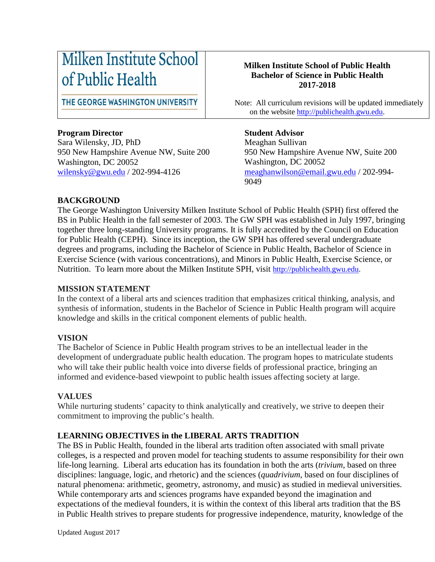# Milken Institute School of Public Health

THE GEORGE WASHINGTON UNIVERSITY

# **Program Director**

Sara Wilensky, JD, PhD 950 New Hampshire Avenue NW, Suite 200 Washington, DC 20052 [wilensky@gwu.edu](mailto:wilensky@gwu.edu) / 202-994-4126

### **Milken Institute School of Public Health Bachelor of Science in Public Health 2017-2018**

 Note: All curriculum revisions will be updated immediately on the website [http://publichealth.gwu.edu.](http://publichealth.gwu.edu/)

## **Student Advisor**

Meaghan Sullivan 950 New Hampshire Avenue NW, Suite 200 Washington, DC 20052 [meaghanwilson@email.gwu.edu](mailto:meaghanwilson@email.gwu.edu) / 202-994- 9049

## **BACKGROUND**

The George Washington University Milken Institute School of Public Health (SPH) first offered the BS in Public Health in the fall semester of 2003. The GW SPH was established in July 1997, bringing together three long-standing University programs. It is fully accredited by the Council on Education for Public Health (CEPH). Since its inception, the GW SPH has offered several undergraduate degrees and programs, including the Bachelor of Science in Public Health, Bachelor of Science in Exercise Science (with various concentrations), and Minors in Public Health, Exercise Science, or Nutrition. To learn more about the Milken Institute SPH, visit [http://publichealth.gwu.edu.](http://publichealth.gwu.edu/)

# **MISSION STATEMENT**

In the context of a liberal arts and sciences tradition that emphasizes critical thinking, analysis, and synthesis of information, students in the Bachelor of Science in Public Health program will acquire knowledge and skills in the critical component elements of public health.

# **VISION**

The Bachelor of Science in Public Health program strives to be an intellectual leader in the development of undergraduate public health education. The program hopes to matriculate students who will take their public health voice into diverse fields of professional practice, bringing an informed and evidence-based viewpoint to public health issues affecting society at large.

### **VALUES**

While nurturing students' capacity to think analytically and creatively, we strive to deepen their commitment to improving the public's health.

# **LEARNING OBJECTIVES in the LIBERAL ARTS TRADITION**

The BS in Public Health, founded in the liberal arts tradition often associated with small private colleges, is a respected and proven model for teaching students to assume responsibility for their own life-long learning. Liberal arts education has its foundation in both the arts (*trivium*, based on three disciplines: language, logic, and rhetoric) and the sciences (*quadrivium*, based on four disciplines of natural phenomena: arithmetic, geometry, astronomy, and music) as studied in medieval universities. While contemporary arts and sciences programs have expanded beyond the imagination and expectations of the medieval founders, it is within the context of this liberal arts tradition that the BS in Public Health strives to prepare students for progressive independence, maturity, knowledge of the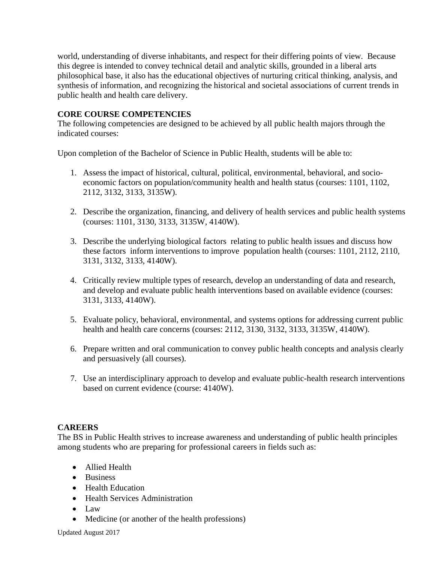world, understanding of diverse inhabitants, and respect for their differing points of view. Because this degree is intended to convey technical detail and analytic skills, grounded in a liberal arts philosophical base, it also has the educational objectives of nurturing critical thinking, analysis, and synthesis of information, and recognizing the historical and societal associations of current trends in public health and health care delivery.

### **CORE COURSE COMPETENCIES**

The following competencies are designed to be achieved by all public health majors through the indicated courses:

Upon completion of the Bachelor of Science in Public Health, students will be able to:

- 1. Assess the impact of historical, cultural, political, environmental, behavioral, and socioeconomic factors on population/community health and health status (courses: 1101, 1102, 2112, 3132, 3133, 3135W).
- 2. Describe the organization, financing, and delivery of health services and public health systems (courses: 1101, 3130, 3133, 3135W, 4140W).
- 3. Describe the underlying biological factors relating to public health issues and discuss how these factors inform interventions to improve population health (courses: 1101, 2112, 2110, 3131, 3132, 3133, 4140W).
- 4. Critically review multiple types of research, develop an understanding of data and research, and develop and evaluate public health interventions based on available evidence (courses: 3131, 3133, 4140W).
- 5. Evaluate policy, behavioral, environmental, and systems options for addressing current public health and health care concerns (courses: 2112, 3130, 3132, 3133, 3135W, 4140W).
- 6. Prepare written and oral communication to convey public health concepts and analysis clearly and persuasively (all courses).
- 7. Use an interdisciplinary approach to develop and evaluate public-health research interventions based on current evidence (course: 4140W).

# **CAREERS**

The BS in Public Health strives to increase awareness and understanding of public health principles among students who are preparing for professional careers in fields such as:

- Allied Health
- Business
- Health Education
- Health Services Administration
- Law
- Medicine (or another of the health professions)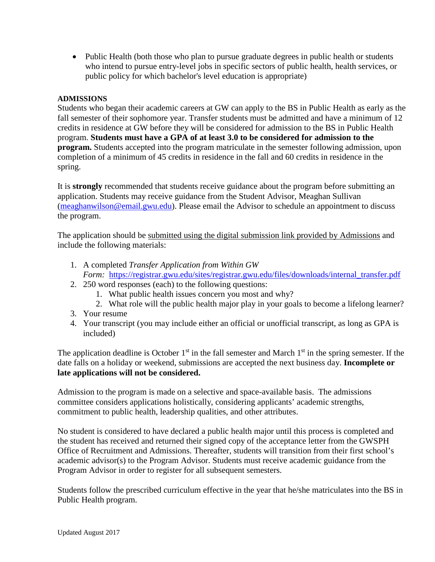• Public Health (both those who plan to pursue graduate degrees in public health or students who intend to pursue entry-level jobs in specific sectors of public health, health services, or public policy for which bachelor's level education is appropriate)

#### **ADMISSIONS**

Students who began their academic careers at GW can apply to the BS in Public Health as early as the fall semester of their sophomore year. Transfer students must be admitted and have a minimum of 12 credits in residence at GW before they will be considered for admission to the BS in Public Health program. **Students must have a GPA of at least 3.0 to be considered for admission to the program.** Students accepted into the program matriculate in the semester following admission, upon completion of a minimum of 45 credits in residence in the fall and 60 credits in residence in the spring.

It is **strongly** recommended that students receive guidance about the program before submitting an application. Students may receive guidance from the Student Advisor, Meaghan Sullivan [\(meaghanwilson@email.gwu.edu\)](mailto:meaghanwilson@email.gwu.edu). Please email the Advisor to schedule an appointment to discuss the program.

The application should be submitted using the digital submission link provided by Admissions and include the following materials:

- 1. A completed *Transfer Application from Within GW Form:* [https://registrar.gwu.edu/sites/registrar.gwu.edu/files/downloads/internal\\_transfer.pdf](https://registrar.gwu.edu/sites/registrar.gwu.edu/files/downloads/internal_transfer.pdf)
- 2. 250 word responses (each) to the following questions:
	- 1. What public health issues concern you most and why?
	- 2. What role will the public health major play in your goals to become a lifelong learner?
- 3. Your resume
- 4. Your transcript (you may include either an official or unofficial transcript, as long as GPA is included)

The application deadline is October  $1<sup>st</sup>$  in the fall semester and March  $1<sup>st</sup>$  in the spring semester. If the date falls on a holiday or weekend, submissions are accepted the next business day. **Incomplete or late applications will not be considered.**

Admission to the program is made on a selective and space-available basis. The admissions committee considers applications holistically, considering applicants' academic strengths, commitment to public health, leadership qualities, and other attributes.

No student is considered to have declared a public health major until this process is completed and the student has received and returned their signed copy of the acceptance letter from the GWSPH Office of Recruitment and Admissions. Thereafter, students will transition from their first school's academic advisor(s) to the Program Advisor. Students must receive academic guidance from the Program Advisor in order to register for all subsequent semesters.

Students follow the prescribed curriculum effective in the year that he/she matriculates into the BS in Public Health program.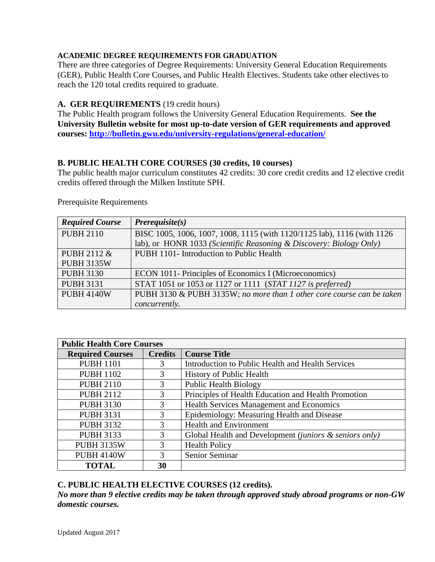#### **ACADEMIC DEGREE REQUIREMENTS FOR GRADUATION**

There are three categories of Degree Requirements: University General Education Requirements (GER), Public Health Core Courses, and Public Health Electives. Students take other electives to reach the 120 total credits required to graduate.

#### **A. GER REQUIREMENTS** (19 credit hours)

The Public Health program follows the University General Education Requirements. **See the University Bulletin website for most up-to-date version of GER requirements and approved courses:<http://bulletin.gwu.edu/university-regulations/general-education/>**

### **B. PUBLIC HEALTH CORE COURSES (30 credits, 10 courses)**

The public health major curriculum constitutes 42 credits: 30 core credit credits and 12 elective credit credits offered through the Milken Institute SPH.

Prerequisite Requirements

| <b>Required Course</b> | $Prerequisite(s)$                                                       |
|------------------------|-------------------------------------------------------------------------|
| <b>PUBH 2110</b>       | BISC 1005, 1006, 1007, 1008, 1115 (with 1120/1125 lab), 1116 (with 1126 |
|                        | lab), or HONR 1033 (Scientific Reasoning & Discovery: Biology Only)     |
| PUBH 2112 &            | PUBH 1101- Introduction to Public Health                                |
| <b>PUBH 3135W</b>      |                                                                         |
| <b>PUBH 3130</b>       | ECON 1011- Principles of Economics I (Microeconomics)                   |
| <b>PUBH 3131</b>       | STAT 1051 or 1053 or 1127 or 1111 (STAT 1127 is preferred)              |
| <b>PUBH 4140W</b>      | PUBH 3130 & PUBH 3135W; no more than 1 other core course can be taken   |
|                        | concurrently.                                                           |

| <b>Public Health Core Courses</b> |                |                                                        |  |  |
|-----------------------------------|----------------|--------------------------------------------------------|--|--|
| <b>Required Courses</b>           | <b>Credits</b> | <b>Course Title</b>                                    |  |  |
| <b>PUBH 1101</b>                  | 3              | Introduction to Public Health and Health Services      |  |  |
| <b>PUBH 1102</b>                  | 3              | History of Public Health                               |  |  |
| <b>PUBH 2110</b>                  | 3              | <b>Public Health Biology</b>                           |  |  |
| <b>PUBH 2112</b>                  | 3              | Principles of Health Education and Health Promotion    |  |  |
| <b>PUBH 3130</b>                  | 3              | Health Services Management and Economics               |  |  |
| <b>PUBH 3131</b>                  | 3              | Epidemiology: Measuring Health and Disease             |  |  |
| <b>PUBH 3132</b>                  | 3              | <b>Health and Environment</b>                          |  |  |
| <b>PUBH 3133</b>                  | $\mathcal{R}$  | Global Health and Development (juniors & seniors only) |  |  |
| <b>PUBH 3135W</b>                 | 3              | <b>Health Policy</b>                                   |  |  |
| <b>PUBH 4140W</b>                 | $\mathcal{R}$  | Senior Seminar                                         |  |  |
| <b>TOTAL</b>                      | 30             |                                                        |  |  |

### **C. PUBLIC HEALTH ELECTIVE COURSES (12 credits).**

*No more than 9 elective credits may be taken through approved study abroad programs or non-GW domestic courses.*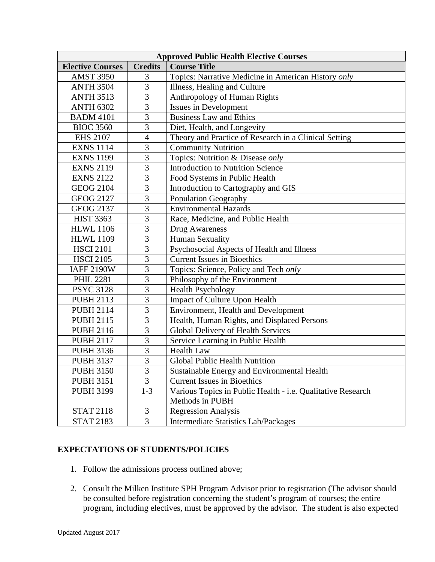| <b>Approved Public Health Elective Courses</b> |                |                                                             |  |  |  |
|------------------------------------------------|----------------|-------------------------------------------------------------|--|--|--|
| <b>Elective Courses</b>                        | <b>Credits</b> | <b>Course Title</b>                                         |  |  |  |
| <b>AMST 3950</b>                               | 3              | Topics: Narrative Medicine in American History only         |  |  |  |
| <b>ANTH 3504</b>                               | 3              | Illness, Healing and Culture                                |  |  |  |
| <b>ANTH 3513</b>                               | $\overline{3}$ | Anthropology of Human Rights                                |  |  |  |
| <b>ANTH 6302</b>                               | 3              | <b>Issues in Development</b>                                |  |  |  |
| <b>BADM 4101</b>                               | 3              | <b>Business Law and Ethics</b>                              |  |  |  |
| <b>BIOC 3560</b>                               | $\overline{3}$ | Diet, Health, and Longevity                                 |  |  |  |
| <b>EHS 2107</b>                                | $\overline{4}$ | Theory and Practice of Research in a Clinical Setting       |  |  |  |
| <b>EXNS 1114</b>                               | $\overline{3}$ | <b>Community Nutrition</b>                                  |  |  |  |
| <b>EXNS 1199</b>                               | $\overline{3}$ | Topics: Nutrition & Disease only                            |  |  |  |
| <b>EXNS 2119</b>                               | 3              | <b>Introduction to Nutrition Science</b>                    |  |  |  |
| <b>EXNS 2122</b>                               | 3              | Food Systems in Public Health                               |  |  |  |
| <b>GEOG 2104</b>                               | $\overline{3}$ | Introduction to Cartography and GIS                         |  |  |  |
| <b>GEOG 2127</b>                               | $\overline{3}$ | <b>Population Geography</b>                                 |  |  |  |
| <b>GEOG 2137</b>                               | 3              | <b>Environmental Hazards</b>                                |  |  |  |
| <b>HIST 3363</b>                               | 3              | Race, Medicine, and Public Health                           |  |  |  |
| <b>HLWL 1106</b>                               | $\overline{3}$ | Drug Awareness                                              |  |  |  |
| <b>HLWL 1109</b>                               | $\overline{3}$ | Human Sexuality                                             |  |  |  |
| <b>HSCI 2101</b>                               | 3              | Psychosocial Aspects of Health and Illness                  |  |  |  |
| <b>HSCI 2105</b>                               | $\overline{3}$ | <b>Current Issues in Bioethics</b>                          |  |  |  |
| <b>IAFF 2190W</b>                              | 3              | Topics: Science, Policy and Tech only                       |  |  |  |
| <b>PHIL 2281</b>                               | $\overline{3}$ | Philosophy of the Environment                               |  |  |  |
| <b>PSYC 3128</b>                               | $\overline{3}$ | <b>Health Psychology</b>                                    |  |  |  |
| <b>PUBH 2113</b>                               | $\overline{3}$ | Impact of Culture Upon Health                               |  |  |  |
| <b>PUBH 2114</b>                               | $\overline{3}$ | Environment, Health and Development                         |  |  |  |
| <b>PUBH 2115</b>                               | $\overline{3}$ | Health, Human Rights, and Displaced Persons                 |  |  |  |
| <b>PUBH 2116</b>                               | $\overline{3}$ | Global Delivery of Health Services                          |  |  |  |
| <b>PUBH 2117</b>                               | $\overline{3}$ | Service Learning in Public Health                           |  |  |  |
| <b>PUBH 3136</b>                               | $\overline{3}$ | <b>Health Law</b>                                           |  |  |  |
| <b>PUBH 3137</b>                               | $\overline{3}$ | Global Public Health Nutrition                              |  |  |  |
| <b>PUBH 3150</b>                               | $\overline{3}$ | Sustainable Energy and Environmental Health                 |  |  |  |
| <b>PUBH 3151</b>                               | 3              | <b>Current Issues in Bioethics</b>                          |  |  |  |
| <b>PUBH 3199</b>                               | $1 - 3$        | Various Topics in Public Health - i.e. Qualitative Research |  |  |  |
|                                                |                | Methods in PUBH                                             |  |  |  |
| <b>STAT 2118</b>                               | 3              | <b>Regression Analysis</b>                                  |  |  |  |
| <b>STAT 2183</b>                               | $\overline{3}$ | <b>Intermediate Statistics Lab/Packages</b>                 |  |  |  |

### **EXPECTATIONS OF STUDENTS/POLICIES**

- 1. Follow the admissions process outlined above;
- 2. Consult the Milken Institute SPH Program Advisor prior to registration (The advisor should be consulted before registration concerning the student's program of courses; the entire program, including electives, must be approved by the advisor. The student is also expected